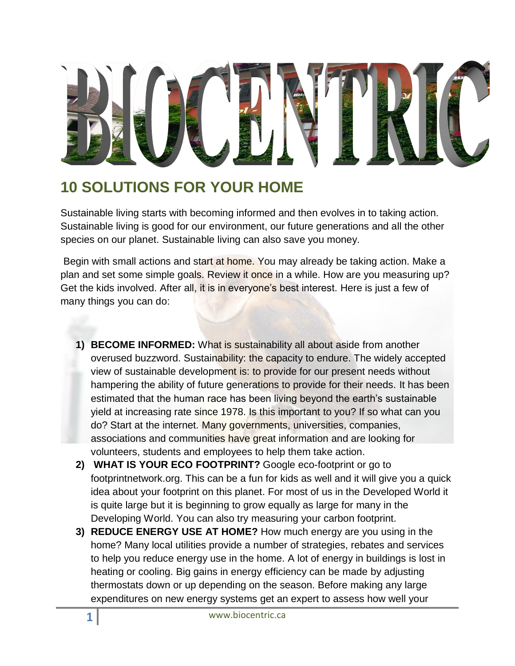## **10 SOLUTIONS FOR YOUR HOME**

Sustainable living starts with becoming informed and then evolves in to taking action. Sustainable living is good for our environment, our future generations and all the other species on our planet. Sustainable living can also save you money.

Begin with small actions and start at home. You may already be taking action. Make a plan and set some simple goals. Review it once in a while. How are you measuring up? Get the kids involved. After all, it is in everyone's best interest. Here is just a few of many things you can do:

- **1) BECOME INFORMED:** What is sustainability all about aside from another overused buzzword. Sustainability: the capacity to endure. The widely accepted view of sustainable development is: to provide for our present needs without hampering the ability of future generations to provide for their needs. It has been estimated that the human race has been living beyond the earth's sustainable yield at increasing rate since 1978. Is this important to you? If so what can you do? Start at the internet. Many governments, universities, companies, associations and communities have great information and are looking for volunteers, students and employees to help them take action.
- **2) WHAT IS YOUR ECO FOOTPRINT?** Google eco-footprint or go to footprintnetwork.org. This can be a fun for kids as well and it will give you a quick idea about your footprint on this planet. For most of us in the Developed World it is quite large but it is beginning to grow equally as large for many in the Developing World. You can also try measuring your carbon footprint.
- **3) REDUCE ENERGY USE AT HOME?** How much energy are you using in the home? Many local utilities provide a number of strategies, rebates and services to help you reduce energy use in the home. A lot of energy in buildings is lost in heating or cooling. Big gains in energy efficiency can be made by adjusting thermostats down or up depending on the season. Before making any large expenditures on new energy systems get an expert to assess how well your